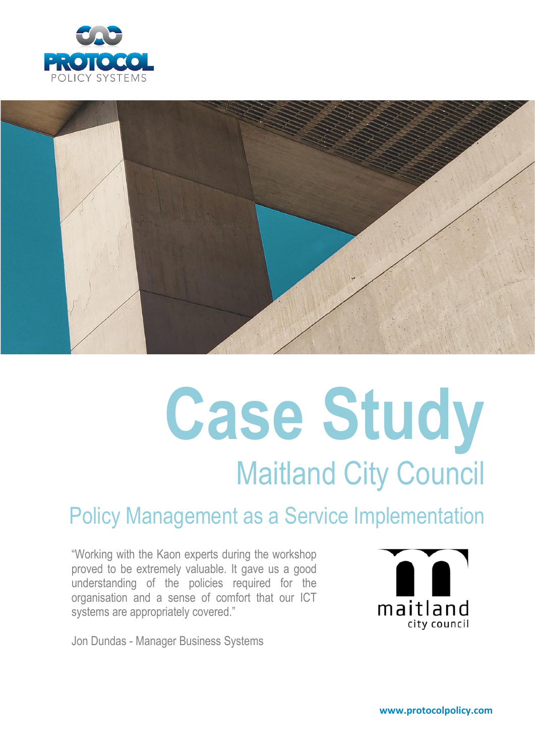



# **Case Study** Maitland City Council

## Policy Management as a Service Implementation

"Working with the Kaon experts during the workshop proved to be extremely valuable. It gave us a good understanding of the policies required for the organisation and a sense of comfort that our ICT systems are appropriately covered."



Jon Dundas - Manager Business Systems